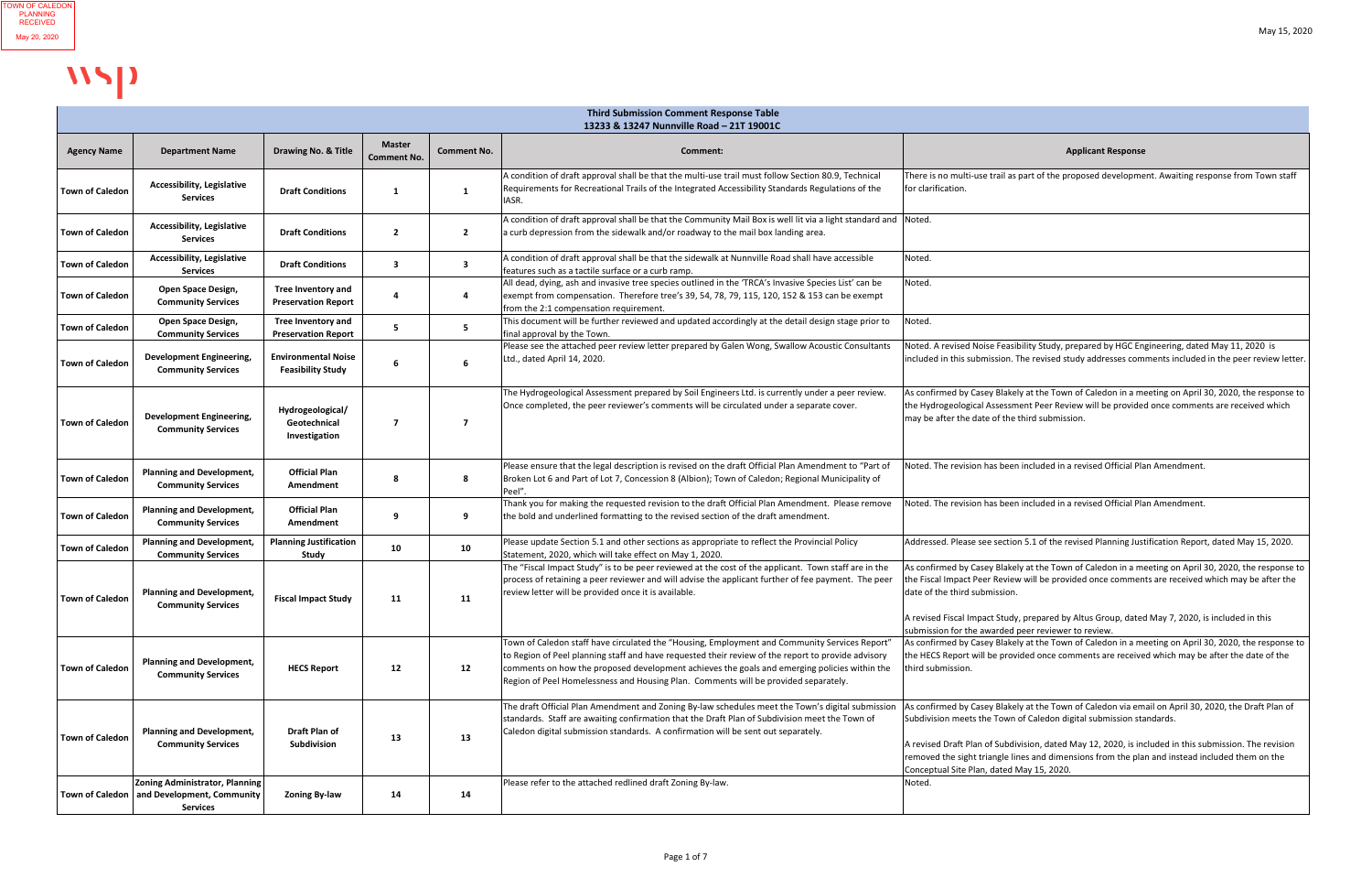|                        | 13233 & 13247 Nunnville Road - 21T 19001C                                                                |                                                         |                                     |                    |                                                                                                                                                                                                                                                                                                                                                                                            |                                                                                                                                                                                                                                                                                                                                                                                                                                    |  |  |
|------------------------|----------------------------------------------------------------------------------------------------------|---------------------------------------------------------|-------------------------------------|--------------------|--------------------------------------------------------------------------------------------------------------------------------------------------------------------------------------------------------------------------------------------------------------------------------------------------------------------------------------------------------------------------------------------|------------------------------------------------------------------------------------------------------------------------------------------------------------------------------------------------------------------------------------------------------------------------------------------------------------------------------------------------------------------------------------------------------------------------------------|--|--|
| <b>Agency Name</b>     | <b>Department Name</b>                                                                                   | <b>Drawing No. &amp; Title</b>                          | <b>Master</b><br><b>Comment No.</b> | <b>Comment No.</b> | Comment:                                                                                                                                                                                                                                                                                                                                                                                   | <b>Applicant Response</b>                                                                                                                                                                                                                                                                                                                                                                                                          |  |  |
| <b>Town of Caledon</b> | <b>Accessibility, Legislative</b><br><b>Services</b>                                                     | <b>Draft Conditions</b>                                 |                                     |                    | A condition of draft approval shall be that the multi-use trail must follow Section 80.9, Technical<br>Requirements for Recreational Trails of the Integrated Accessibility Standards Regulations of the<br>IASR.                                                                                                                                                                          | There is no multi-use trail as part of the proposed development. Awaiting response from Town staff<br>for clarification.                                                                                                                                                                                                                                                                                                           |  |  |
| <b>Town of Caledon</b> | <b>Accessibility, Legislative</b><br>Services                                                            | <b>Draft Conditions</b>                                 | $\overline{2}$                      | $\overline{2}$     | A condition of draft approval shall be that the Community Mail Box is well lit via a light standard and  Noted.<br>a curb depression from the sidewalk and/or roadway to the mail box landing area.                                                                                                                                                                                        |                                                                                                                                                                                                                                                                                                                                                                                                                                    |  |  |
| <b>Town of Caledon</b> | <b>Accessibility, Legislative</b><br><b>Services</b>                                                     | <b>Draft Conditions</b>                                 | -3                                  | -3                 | A condition of draft approval shall be that the sidewalk at Nunnville Road shall have accessible<br>features such as a tactile surface or a curb ramp.                                                                                                                                                                                                                                     | Noted.                                                                                                                                                                                                                                                                                                                                                                                                                             |  |  |
| <b>Town of Caledon</b> | <b>Open Space Design,</b><br><b>Community Services</b>                                                   | <b>Tree Inventory and</b><br><b>Preservation Report</b> |                                     |                    | All dead, dying, ash and invasive tree species outlined in the 'TRCA's Invasive Species List' can be<br>exempt from compensation. Therefore tree's 39, 54, 78, 79, 115, 120, 152 & 153 can be exempt<br>from the 2:1 compensation requirement.                                                                                                                                             | Noted.                                                                                                                                                                                                                                                                                                                                                                                                                             |  |  |
| <b>Town of Caledon</b> | Open Space Design,<br><b>Community Services</b>                                                          | <b>Tree Inventory and</b><br><b>Preservation Report</b> | 5                                   | -5                 | This document will be further reviewed and updated accordingly at the detail design stage prior to<br>final approval by the Town.                                                                                                                                                                                                                                                          | Noted.                                                                                                                                                                                                                                                                                                                                                                                                                             |  |  |
| <b>Town of Caledon</b> | <b>Development Engineering,</b><br><b>Community Services</b>                                             | <b>Environmental Noise</b><br><b>Feasibility Study</b>  |                                     | 6                  | Please see the attached peer review letter prepared by Galen Wong, Swallow Acoustic Consultants<br>Ltd., dated April 14, 2020.                                                                                                                                                                                                                                                             | Noted. A revised Noise Feasibility Study, prepared by HGC Engineering, dated May 11, 2020 is<br>included in this submission. The revised study addresses comments included in the peer review letter.                                                                                                                                                                                                                              |  |  |
| <b>Town of Caledon</b> | <b>Development Engineering,</b><br><b>Community Services</b>                                             | Hydrogeological/<br>Geotechnical<br>Investigation       | $\overline{7}$                      | - 7                | The Hydrogeological Assessment prepared by Soil Engineers Ltd. is currently under a peer review.<br>Once completed, the peer reviewer's comments will be circulated under a separate cover.                                                                                                                                                                                                | As confirmed by Casey Blakely at the Town of Caledon in a meeting on April 30, 2020, the response to<br>the Hydrogeological Assessment Peer Review will be provided once comments are received which<br>may be after the date of the third submission.                                                                                                                                                                             |  |  |
| <b>Town of Caledon</b> | <b>Planning and Development,</b><br><b>Community Services</b>                                            | <b>Official Plan</b><br>Amendment                       | 8                                   |                    | Please ensure that the legal description is revised on the draft Official Plan Amendment to "Part of<br>Broken Lot 6 and Part of Lot 7, Concession 8 (Albion); Town of Caledon; Regional Municipality of<br>Peel"                                                                                                                                                                          | Noted. The revision has been included in a revised Official Plan Amendment.                                                                                                                                                                                                                                                                                                                                                        |  |  |
| Town of Caledon        | <b>Planning and Development,</b><br><b>Community Services</b>                                            | <b>Official Plan</b><br>Amendment                       |                                     |                    | Thank you for making the requested revision to the draft Official Plan Amendment. Please remove<br>the bold and underlined formatting to the revised section of the draft amendment.                                                                                                                                                                                                       | Noted. The revision has been included in a revised Official Plan Amendment.                                                                                                                                                                                                                                                                                                                                                        |  |  |
| <b>Town of Caledon</b> | <b>Planning and Development,</b><br><b>Community Services</b>                                            | <b>Planning Justification</b><br>Study                  | 10                                  | 10                 | Please update Section 5.1 and other sections as appropriate to reflect the Provincial Policy<br>Statement, 2020, which will take effect on May 1, 2020.                                                                                                                                                                                                                                    | Addressed. Please see section 5.1 of the revised Planning Justification Report, dated May 15, 2020.                                                                                                                                                                                                                                                                                                                                |  |  |
| <b>Town of Caledon</b> | <b>Planning and Development,</b><br><b>Community Services</b>                                            | <b>Fiscal Impact Study</b>                              | 11                                  | 11                 | The "Fiscal Impact Study" is to be peer reviewed at the cost of the applicant. Town staff are in the<br>process of retaining a peer reviewer and will advise the applicant further of fee payment. The peer<br>review letter will be provided once it is available.                                                                                                                        | As confirmed by Casey Blakely at the Town of Caledon in a meeting on April 30, 2020, the response to<br>the Fiscal Impact Peer Review will be provided once comments are received which may be after the<br>date of the third submission.<br>A revised Fiscal Impact Study, prepared by Altus Group, dated May 7, 2020, is included in this<br>submission for the awarded peer reviewer to review.                                 |  |  |
| <b>Town of Caledon</b> | <b>Planning and Development,</b><br><b>Community Services</b>                                            | <b>HECS Report</b>                                      | 12                                  | 12                 | Town of Caledon staff have circulated the "Housing, Employment and Community Services Report"<br>to Region of Peel planning staff and have requested their review of the report to provide advisory<br>comments on how the proposed development achieves the goals and emerging policies within the<br>Region of Peel Homelessness and Housing Plan. Comments will be provided separately. | As confirmed by Casey Blakely at the Town of Caledon in a meeting on April 30, 2020, the response to<br>the HECS Report will be provided once comments are received which may be after the date of the<br>third submission.                                                                                                                                                                                                        |  |  |
| <b>Town of Caledon</b> | <b>Planning and Development,</b><br><b>Community Services</b>                                            | <b>Draft Plan of</b><br>Subdivision                     | 13                                  | 13                 | The draft Official Plan Amendment and Zoning By-law schedules meet the Town's digital submission<br>standards. Staff are awaiting confirmation that the Draft Plan of Subdivision meet the Town of<br>Caledon digital submission standards. A confirmation will be sent out separately.                                                                                                    | As confirmed by Casey Blakely at the Town of Caledon via email on April 30, 2020, the Draft Plan of<br>Subdivision meets the Town of Caledon digital submission standards.<br>A revised Draft Plan of Subdivision, dated May 12, 2020, is included in this submission. The revision<br>removed the sight triangle lines and dimensions from the plan and instead included them on the<br>Conceptual Site Plan, dated May 15, 2020. |  |  |
|                        | <b>Zoning Administrator, Planning</b><br>Town of Caledon   and Development, Community<br><b>Services</b> | <b>Zoning By-law</b>                                    | 14                                  | 14                 | Please refer to the attached redlined draft Zoning By-law.                                                                                                                                                                                                                                                                                                                                 | Noted.                                                                                                                                                                                                                                                                                                                                                                                                                             |  |  |

# WSP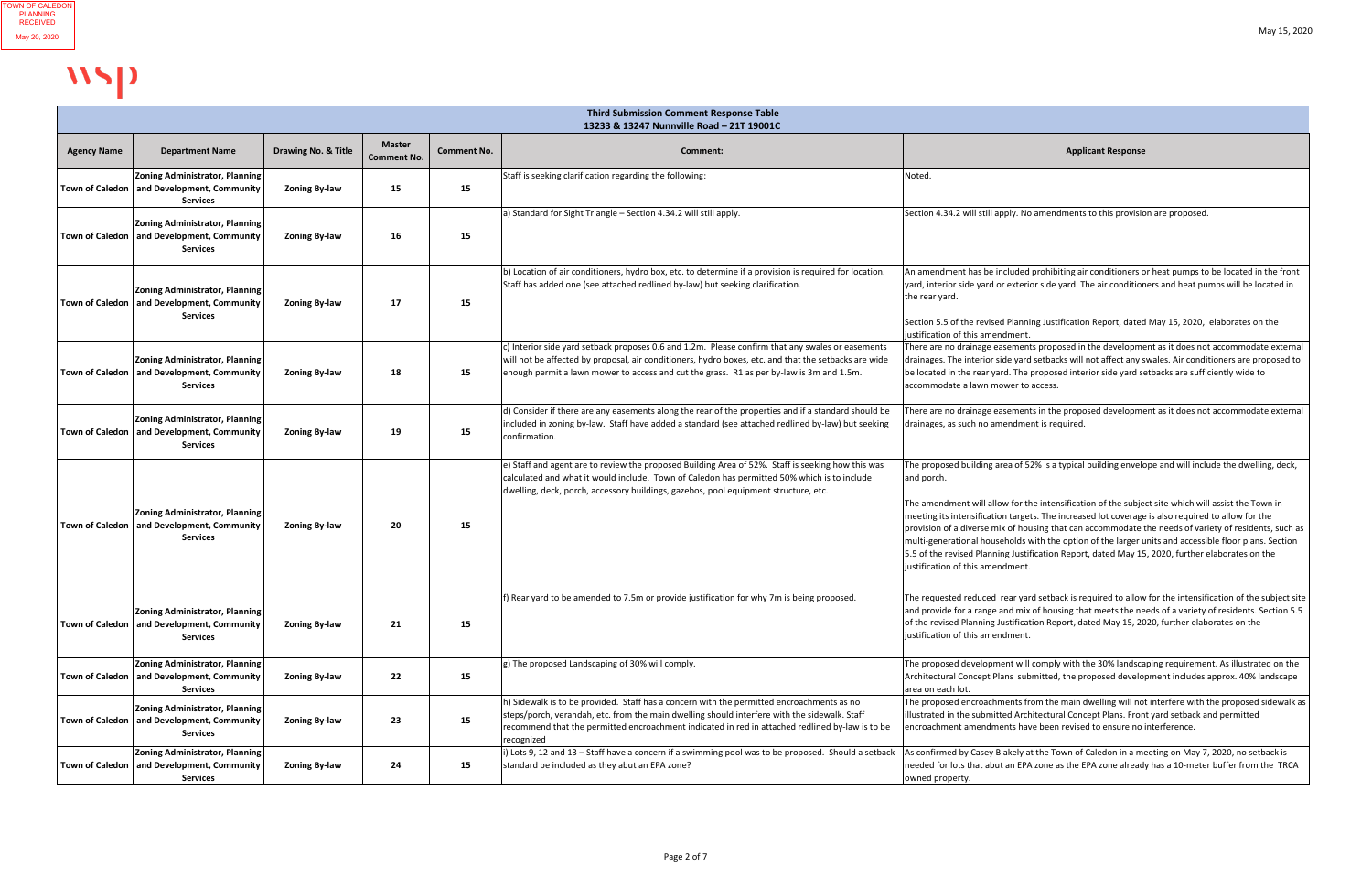|                        | <b>Third Submission Comment Response Table</b><br>13233 & 13247 Nunnville Road - 21T 19001C              |                      |                                     |                    |                                                                                                                                                                                                                                                                                                            |                                                                                                                                                                                                                                                                                                                                                                                                                                                                                                                                                                                                                                                                                         |  |
|------------------------|----------------------------------------------------------------------------------------------------------|----------------------|-------------------------------------|--------------------|------------------------------------------------------------------------------------------------------------------------------------------------------------------------------------------------------------------------------------------------------------------------------------------------------------|-----------------------------------------------------------------------------------------------------------------------------------------------------------------------------------------------------------------------------------------------------------------------------------------------------------------------------------------------------------------------------------------------------------------------------------------------------------------------------------------------------------------------------------------------------------------------------------------------------------------------------------------------------------------------------------------|--|
| <b>Agency Name</b>     | <b>Department Name</b>                                                                                   | Drawing No. & Title  | <b>Master</b><br><b>Comment No.</b> | <b>Comment No.</b> | <b>Comment:</b>                                                                                                                                                                                                                                                                                            | <b>Applicant Response</b>                                                                                                                                                                                                                                                                                                                                                                                                                                                                                                                                                                                                                                                               |  |
| <b>Town of Caledon</b> | Zoning Administrator, Planning<br>and Development, Community<br><b>Services</b>                          | <b>Zoning By-law</b> | 15                                  | 15                 | Staff is seeking clarification regarding the following:                                                                                                                                                                                                                                                    | Noted.                                                                                                                                                                                                                                                                                                                                                                                                                                                                                                                                                                                                                                                                                  |  |
| <b>Town of Caledon</b> | <b>Zoning Administrator, Planning</b><br>and Development, Community<br><b>Services</b>                   | <b>Zoning By-law</b> | 16                                  | 15                 | a) Standard for Sight Triangle - Section 4.34.2 will still apply.                                                                                                                                                                                                                                          | Section 4.34.2 will still apply. No amendments to this provision are proposed.                                                                                                                                                                                                                                                                                                                                                                                                                                                                                                                                                                                                          |  |
|                        | <b>Zoning Administrator, Planning</b><br>Town of Caledon   and Development, Community<br><b>Services</b> | <b>Zoning By-law</b> | 17                                  | 15                 | b) Location of air conditioners, hydro box, etc. to determine if a provision is required for location.<br>Staff has added one (see attached redlined by-law) but seeking clarification.                                                                                                                    | An amendment has be included prohibiting air conditioners or heat pumps to be located in the front<br>yard, interior side yard or exterior side yard. The air conditioners and heat pumps will be located in<br>the rear yard.<br>Section 5.5 of the revised Planning Justification Report, dated May 15, 2020, elaborates on the                                                                                                                                                                                                                                                                                                                                                       |  |
| <b>Town of Caledon</b> | <b>Zoning Administrator, Planning</b><br>and Development, Community<br><b>Services</b>                   | <b>Zoning By-law</b> | 18                                  | 15                 | c) Interior side yard setback proposes 0.6 and 1.2m. Please confirm that any swales or easements<br>will not be affected by proposal, air conditioners, hydro boxes, etc. and that the setbacks are wide<br>enough permit a lawn mower to access and cut the grass. R1 as per by-law is 3m and 1.5m.       | justification of this amendment.<br>There are no drainage easements proposed in the development as it does not accommodate external<br>drainages. The interior side yard setbacks will not affect any swales. Air conditioners are proposed to<br>be located in the rear yard. The proposed interior side yard setbacks are sufficiently wide to<br>accommodate a lawn mower to access.                                                                                                                                                                                                                                                                                                 |  |
|                        | <b>Zoning Administrator, Planning</b><br>Town of Caledon   and Development, Community<br><b>Services</b> | <b>Zoning By-law</b> | 19                                  | 15                 | d) Consider if there are any easements along the rear of the properties and if a standard should be<br>included in zoning by-law. Staff have added a standard (see attached redlined by-law) but seeking<br>confirmation.                                                                                  | There are no drainage easements in the proposed development as it does not accommodate external<br>drainages, as such no amendment is required.                                                                                                                                                                                                                                                                                                                                                                                                                                                                                                                                         |  |
|                        | <b>Zoning Administrator, Planning</b><br>Town of Caledon   and Development, Community<br><b>Services</b> | <b>Zoning By-law</b> | 20                                  | 15                 | e) Staff and agent are to review the proposed Building Area of 52%. Staff is seeking how this was<br>calculated and what it would include. Town of Caledon has permitted 50% which is to include<br>dwelling, deck, porch, accessory buildings, gazebos, pool equipment structure, etc.                    | The proposed building area of 52% is a typical building envelope and will include the dwelling, deck,<br>and porch.<br>The amendment will allow for the intensification of the subject site which will assist the Town in<br>meeting its intensification targets. The increased lot coverage is also required to allow for the<br>provision of a diverse mix of housing that can accommodate the needs of variety of residents, such as<br>multi-generational households with the option of the larger units and accessible floor plans. Section<br>5.5 of the revised Planning Justification Report, dated May 15, 2020, further elaborates on the<br>justification of this amendment. |  |
| Town of Caledon        | <b>Zoning Administrator, Planning</b><br>and Development, Community<br><b>Services</b>                   | <b>Zoning By-law</b> | 21                                  | 15                 | f) Rear yard to be amended to 7.5m or provide justification for why 7m is being proposed.                                                                                                                                                                                                                  | The requested reduced rear yard setback is required to allow for the intensification of the subject site<br>and provide for a range and mix of housing that meets the needs of a variety of residents. Section 5.5<br>of the revised Planning Justification Report, dated May 15, 2020, further elaborates on the<br>justification of this amendment.                                                                                                                                                                                                                                                                                                                                   |  |
| Town of Caledon        | <b>Zoning Administrator, Planning</b><br>and Development, Community<br><b>Services</b>                   | <b>Zoning By-law</b> | 22                                  | 15                 | g) The proposed Landscaping of 30% will comply.                                                                                                                                                                                                                                                            | The proposed development will comply with the 30% landscaping requirement. As illustrated on the<br>Architectural Concept Plans submitted, the proposed development includes approx. 40% landscape<br>area on each lot.                                                                                                                                                                                                                                                                                                                                                                                                                                                                 |  |
|                        | <b>Zoning Administrator, Planning</b><br>Town of Caledon   and Development, Community<br><b>Services</b> | <b>Zoning By-law</b> | 23                                  | 15                 | h) Sidewalk is to be provided. Staff has a concern with the permitted encroachments as no<br>steps/porch, verandah, etc. from the main dwelling should interfere with the sidewalk. Staff<br>recommend that the permitted encroachment indicated in red in attached redlined by-law is to be<br>recognized | The proposed encroachments from the main dwelling will not interfere with the proposed sidewalk as<br>illustrated in the submitted Architectural Concept Plans. Front yard setback and permitted<br>encroachment amendments have been revised to ensure no interference.                                                                                                                                                                                                                                                                                                                                                                                                                |  |
|                        | <b>Zoning Administrator, Planning</b><br>Town of Caledon   and Development, Community<br><b>Services</b> | <b>Zoning By-law</b> | 24                                  | 15                 | i) Lots 9, 12 and 13 – Staff have a concern if a swimming pool was to be proposed. Should a setback<br>standard be included as they abut an EPA zone?                                                                                                                                                      | As confirmed by Casey Blakely at the Town of Caledon in a meeting on May 7, 2020, no setback is<br>needed for lots that abut an EPA zone as the EPA zone already has a 10-meter buffer from the TRCA<br>owned property.                                                                                                                                                                                                                                                                                                                                                                                                                                                                 |  |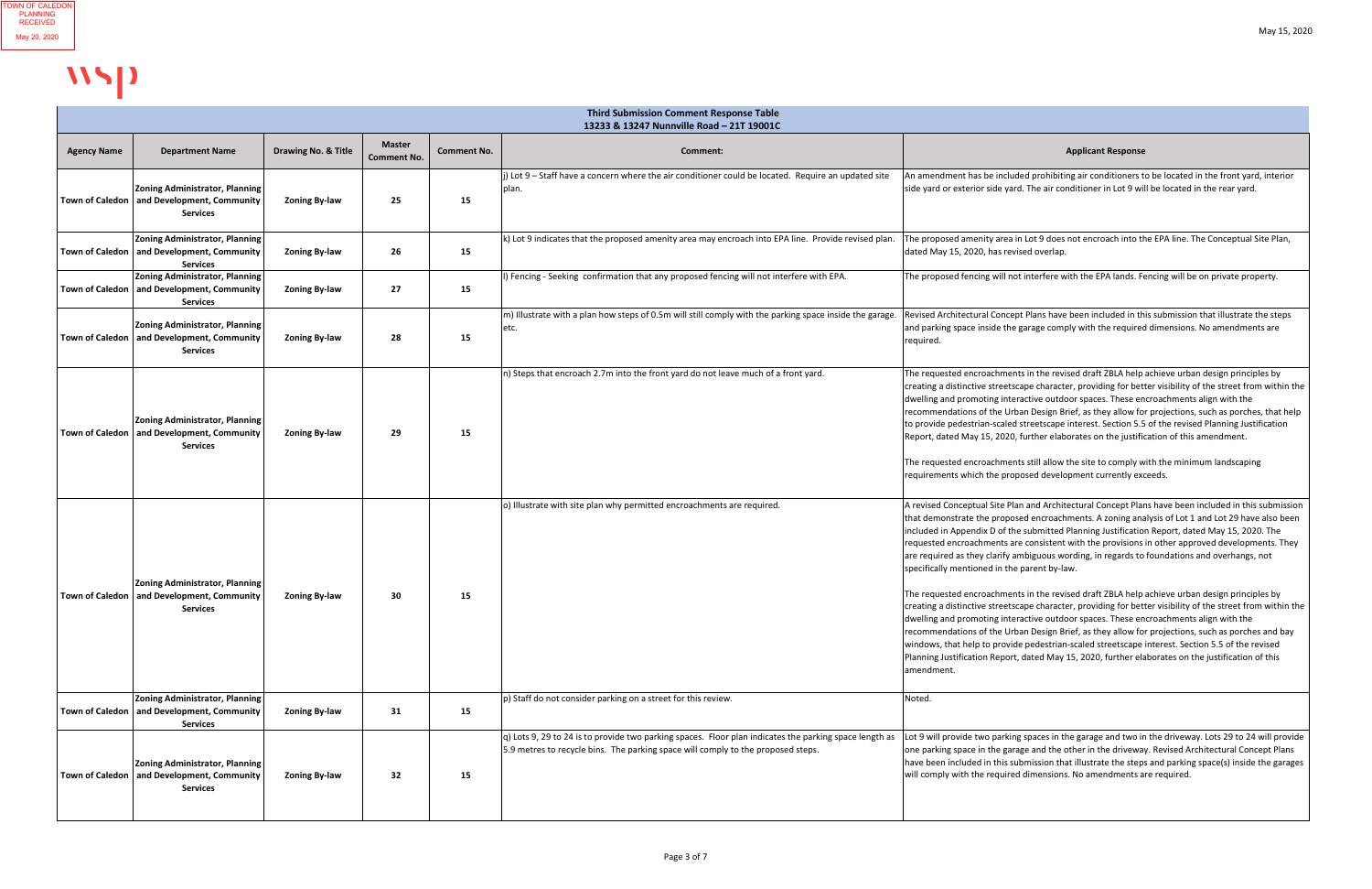|                        | <b>Third Submission Comment Response Table</b><br>13233 & 13247 Nunnville Road - 21T 19001C                |                      |                                     |                    |                                                                                                                                                                                            |                                                                                                                                                                                                                                                                                                                                                                                                                                                                                                                                                                                                                                                                                                                                                                                                                                                                                                                                                                                                                                                                                                                                                                                                      |  |  |
|------------------------|------------------------------------------------------------------------------------------------------------|----------------------|-------------------------------------|--------------------|--------------------------------------------------------------------------------------------------------------------------------------------------------------------------------------------|------------------------------------------------------------------------------------------------------------------------------------------------------------------------------------------------------------------------------------------------------------------------------------------------------------------------------------------------------------------------------------------------------------------------------------------------------------------------------------------------------------------------------------------------------------------------------------------------------------------------------------------------------------------------------------------------------------------------------------------------------------------------------------------------------------------------------------------------------------------------------------------------------------------------------------------------------------------------------------------------------------------------------------------------------------------------------------------------------------------------------------------------------------------------------------------------------|--|--|
| <b>Agency Name</b>     | <b>Department Name</b>                                                                                     | Drawing No. & Title  | <b>Master</b><br><b>Comment No.</b> | <b>Comment No.</b> | <b>Comment:</b>                                                                                                                                                                            | <b>Applicant Response</b>                                                                                                                                                                                                                                                                                                                                                                                                                                                                                                                                                                                                                                                                                                                                                                                                                                                                                                                                                                                                                                                                                                                                                                            |  |  |
|                        | <b>Zoning Administrator, Planning</b><br>Town of Caledon   and Development, Community<br><b>Services</b>   | <b>Zoning By-law</b> | 25                                  | 15                 | ) Lot 9 - Staff have a concern where the air conditioner could be located. Require an updated site<br>plan.                                                                                | An amendment has be included prohibiting air conditioners to be located in the front yard, interior<br>side yard or exterior side yard. The air conditioner in Lot 9 will be located in the rear yard.                                                                                                                                                                                                                                                                                                                                                                                                                                                                                                                                                                                                                                                                                                                                                                                                                                                                                                                                                                                               |  |  |
|                        | <b>Zoning Administrator, Planning</b><br>Town of Caledon   and Development, Community<br><b>Services</b>   | <b>Zoning By-law</b> | 26                                  | 15                 | k) Lot 9 indicates that the proposed amenity area may encroach into EPA line. Provide revised plan.                                                                                        | The proposed amenity area in Lot 9 does not encroach into the EPA line. The Conceptual Site Plan,<br>dated May 15, 2020, has revised overlap.                                                                                                                                                                                                                                                                                                                                                                                                                                                                                                                                                                                                                                                                                                                                                                                                                                                                                                                                                                                                                                                        |  |  |
| <b>Town of Caledon</b> | <b>Zoning Administrator, Planning</b><br>and Development, Community<br><b>Services</b>                     | <b>Zoning By-law</b> | 27                                  | 15                 | ) Fencing - Seeking confirmation that any proposed fencing will not interfere with EPA.                                                                                                    | The proposed fencing will not interfere with the EPA lands. Fencing will be on private property.                                                                                                                                                                                                                                                                                                                                                                                                                                                                                                                                                                                                                                                                                                                                                                                                                                                                                                                                                                                                                                                                                                     |  |  |
| Town of Caledon        | <b>Zoning Administrator, Planning</b><br>and Development, Community<br><b>Services</b>                     | <b>Zoning By-law</b> | 28                                  | 15                 | m) Illustrate with a plan how steps of 0.5m will still comply with the parking space inside the garage<br>etc.                                                                             | Revised Architectural Concept Plans have been included in this submission that illustrate the steps<br>and parking space inside the garage comply with the required dimensions. No amendments are<br>required.                                                                                                                                                                                                                                                                                                                                                                                                                                                                                                                                                                                                                                                                                                                                                                                                                                                                                                                                                                                       |  |  |
| <b>Town of Caledon</b> | <b>Zoning Administrator, Planning</b><br>and Development, Community<br><b>Services</b>                     | <b>Zoning By-law</b> | 29                                  | 15                 | n) Steps that encroach 2.7m into the front yard do not leave much of a front yard.                                                                                                         | The requested encroachments in the revised draft ZBLA help achieve urban design principles by<br>creating a distinctive streetscape character, providing for better visibility of the street from within the<br>dwelling and promoting interactive outdoor spaces. These encroachments align with the<br>recommendations of the Urban Design Brief, as they allow for projections, such as porches, that help<br>to provide pedestrian-scaled streetscape interest. Section 5.5 of the revised Planning Justification<br>Report, dated May 15, 2020, further elaborates on the justification of this amendment.<br>The requested encroachments still allow the site to comply with the minimum landscaping<br>requirements which the proposed development currently exceeds.                                                                                                                                                                                                                                                                                                                                                                                                                         |  |  |
|                        | <b>Zoning Administrator, Planning</b><br>  Town of Caledon   and Development, Community<br><b>Services</b> | <b>Zoning By-law</b> | 30                                  | 15                 | o) Illustrate with site plan why permitted encroachments are required.                                                                                                                     | A revised Conceptual Site Plan and Architectural Concept Plans have been included in this submission<br>that demonstrate the proposed encroachments. A zoning analysis of Lot 1 and Lot 29 have also been<br>included in Appendix D of the submitted Planning Justification Report, dated May 15, 2020. The<br>requested encroachments are consistent with the provisions in other approved developments. They<br>are required as they clarify ambiguous wording, in regards to foundations and overhangs, not<br>specifically mentioned in the parent by-law.<br>The requested encroachments in the revised draft ZBLA help achieve urban design principles by<br>creating a distinctive streetscape character, providing for better visibility of the street from within the<br>dwelling and promoting interactive outdoor spaces. These encroachments align with the<br>recommendations of the Urban Design Brief, as they allow for projections, such as porches and bay<br>windows, that help to provide pedestrian-scaled streetscape interest. Section 5.5 of the revised<br>Planning Justification Report, dated May 15, 2020, further elaborates on the justification of this<br>amendment. |  |  |
|                        | <b>Zoning Administrator, Planning</b><br>Town of Caledon   and Development, Community<br><b>Services</b>   | <b>Zoning By-law</b> | 31                                  | 15                 | p) Staff do not consider parking on a street for this review.                                                                                                                              | Noted.                                                                                                                                                                                                                                                                                                                                                                                                                                                                                                                                                                                                                                                                                                                                                                                                                                                                                                                                                                                                                                                                                                                                                                                               |  |  |
|                        | <b>Zoning Administrator, Planning</b><br>Town of Caledon   and Development, Community<br><b>Services</b>   | <b>Zoning By-law</b> | 32                                  | 15                 | q) Lots 9, 29 to 24 is to provide two parking spaces. Floor plan indicates the parking space length as<br>5.9 metres to recycle bins. The parking space will comply to the proposed steps. | Lot 9 will provide two parking spaces in the garage and two in the driveway. Lots 29 to 24 will provide<br>one parking space in the garage and the other in the driveway. Revised Architectural Concept Plans<br>have been included in this submission that illustrate the steps and parking space(s) inside the garages<br>will comply with the required dimensions. No amendments are required.                                                                                                                                                                                                                                                                                                                                                                                                                                                                                                                                                                                                                                                                                                                                                                                                    |  |  |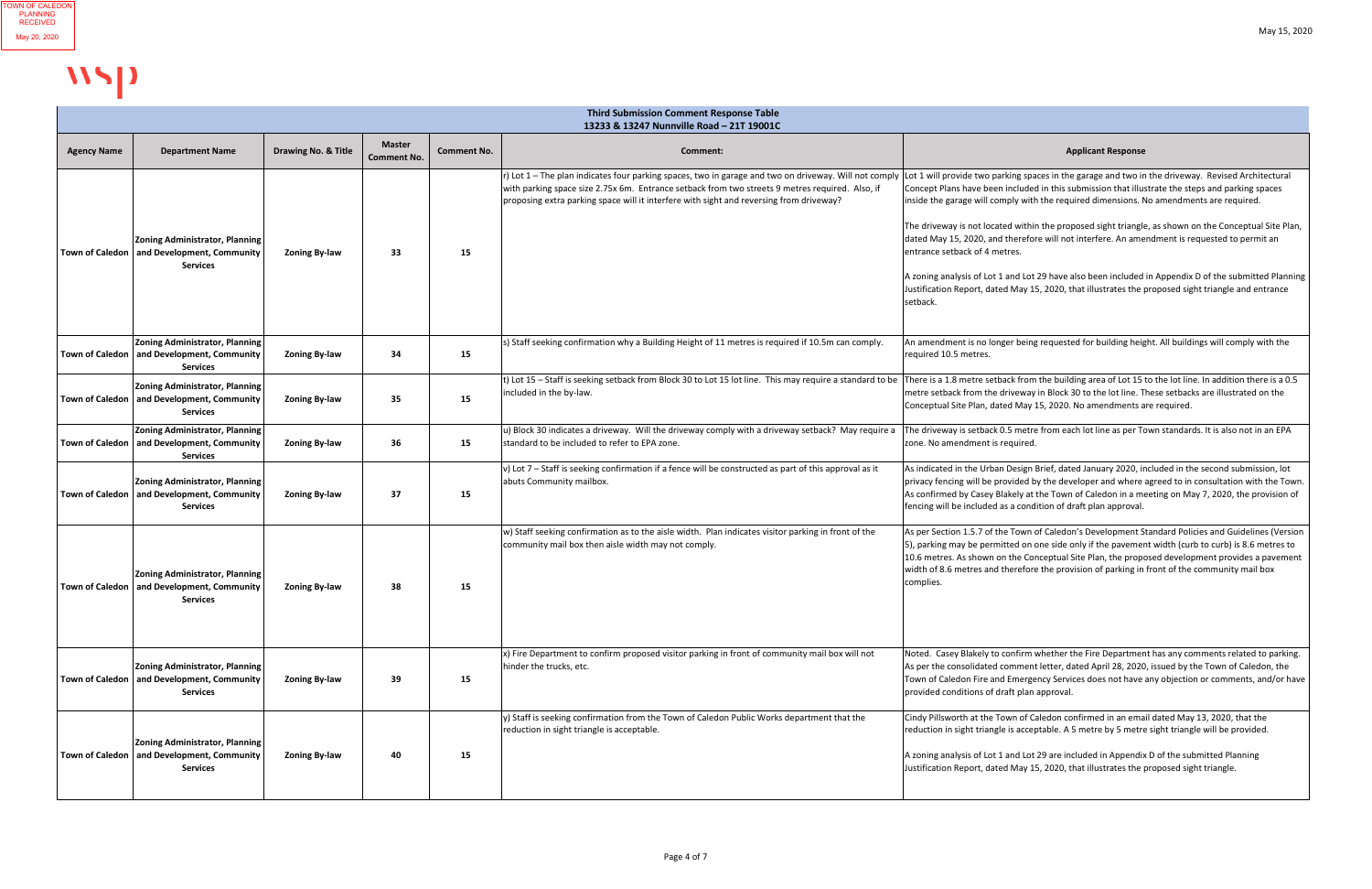|                    | 13233 & 13247 Nunnville Road - 21T 19001C                                                                |                      |                                     |                    |                                                                                                                                                                                                                                                                                                                                                                                                         |                                                                                                                                                                                                                                                                                                                                                                                                                                                                                                                                                                                                                                                                   |  |
|--------------------|----------------------------------------------------------------------------------------------------------|----------------------|-------------------------------------|--------------------|---------------------------------------------------------------------------------------------------------------------------------------------------------------------------------------------------------------------------------------------------------------------------------------------------------------------------------------------------------------------------------------------------------|-------------------------------------------------------------------------------------------------------------------------------------------------------------------------------------------------------------------------------------------------------------------------------------------------------------------------------------------------------------------------------------------------------------------------------------------------------------------------------------------------------------------------------------------------------------------------------------------------------------------------------------------------------------------|--|
| <b>Agency Name</b> | <b>Department Name</b>                                                                                   | Drawing No. & Title  | <b>Master</b><br><b>Comment No.</b> | <b>Comment No.</b> | <b>Comment:</b>                                                                                                                                                                                                                                                                                                                                                                                         | <b>Applicant Response</b>                                                                                                                                                                                                                                                                                                                                                                                                                                                                                                                                                                                                                                         |  |
|                    | <b>Zoning Administrator, Planning</b><br>Town of Caledon   and Development, Community<br><b>Services</b> | <b>Zoning By-law</b> | 33                                  | 15                 | r) Lot 1 - The plan indicates four parking spaces, two in garage and two on driveway. Will not comply  Lot 1 will provide two parking spaces in the garage and two in the driveway. Revised Architectural<br>with parking space size 2.75x 6m. Entrance setback from two streets 9 metres required. Also, if<br>proposing extra parking space will it interfere with sight and reversing from driveway? | Concept Plans have been included in this submission that illustrate the steps and parking spaces<br>inside the garage will comply with the required dimensions. No amendments are required.<br>The driveway is not located within the proposed sight triangle, as shown on the Conceptual Site Plan,<br>dated May 15, 2020, and therefore will not interfere. An amendment is requested to permit an<br>entrance setback of 4 metres.<br>A zoning analysis of Lot 1 and Lot 29 have also been included in Appendix D of the submitted Planning<br>Justification Report, dated May 15, 2020, that illustrates the proposed sight triangle and entrance<br>setback. |  |
|                    | <b>Zoning Administrator, Planning</b><br>Town of Caledon   and Development, Community<br><b>Services</b> | <b>Zoning By-law</b> | 34                                  | 15                 | s) Staff seeking confirmation why a Building Height of 11 metres is required if 10.5m can comply.                                                                                                                                                                                                                                                                                                       | An amendment is no longer being requested for building height. All buildings will comply with the<br>required 10.5 metres.                                                                                                                                                                                                                                                                                                                                                                                                                                                                                                                                        |  |
|                    | <b>Zoning Administrator, Planning</b><br>Town of Caledon   and Development, Community<br><b>Services</b> | <b>Zoning By-law</b> | 35                                  | 15                 | t) Lot 15 - Staff is seeking setback from Block 30 to Lot 15 lot line. This may require a standard to be<br>included in the by-law.                                                                                                                                                                                                                                                                     | There is a 1.8 metre setback from the building area of Lot 15 to the lot line. In addition there is a 0.5<br>metre setback from the driveway in Block 30 to the lot line. These setbacks are illustrated on the<br>Conceptual Site Plan, dated May 15, 2020. No amendments are required.                                                                                                                                                                                                                                                                                                                                                                          |  |
|                    | <b>Zoning Administrator, Planning</b><br>Town of Caledon   and Development, Community<br><b>Services</b> | <b>Zoning By-law</b> | 36                                  | 15                 | u) Block 30 indicates a driveway. Will the driveway comply with a driveway setback? May require a<br>standard to be included to refer to EPA zone.                                                                                                                                                                                                                                                      | The driveway is setback 0.5 metre from each lot line as per Town standards. It is also not in an EPA<br>zone. No amendment is required.                                                                                                                                                                                                                                                                                                                                                                                                                                                                                                                           |  |
|                    | <b>Zoning Administrator, Planning</b><br>Town of Caledon   and Development, Community<br><b>Services</b> | <b>Zoning By-law</b> | 37                                  | 15                 | v) Lot $7$ – Staff is seeking confirmation if a fence will be constructed as part of this approval as it<br>abuts Community mailbox.                                                                                                                                                                                                                                                                    | As indicated in the Urban Design Brief, dated January 2020, included in the second submission, lot<br>privacy fencing will be provided by the developer and where agreed to in consultation with the Town.<br>As confirmed by Casey Blakely at the Town of Caledon in a meeting on May 7, 2020, the provision of<br>fencing will be included as a condition of draft plan approval.                                                                                                                                                                                                                                                                               |  |
|                    | <b>Zoning Administrator, Planning</b><br>Town of Caledon   and Development, Community<br><b>Services</b> | <b>Zoning By-law</b> | 38                                  | 15                 | w) Staff seeking confirmation as to the aisle width. Plan indicates visitor parking in front of the<br>community mail box then aisle width may not comply.                                                                                                                                                                                                                                              | As per Section 1.5.7 of the Town of Caledon's Development Standard Policies and Guidelines (Version<br>5), parking may be permitted on one side only if the pavement width (curb to curb) is 8.6 metres to<br>10.6 metres. As shown on the Conceptual Site Plan, the proposed development provides a pavement<br>width of 8.6 metres and therefore the provision of parking in front of the community mail box<br>complies.                                                                                                                                                                                                                                       |  |
|                    | <b>Zoning Administrator, Planning</b><br>Town of Caledon   and Development, Community<br><b>Services</b> | <b>Zoning By-law</b> | 39                                  | 15                 | x) Fire Department to confirm proposed visitor parking in front of community mail box will not<br>hinder the trucks, etc.                                                                                                                                                                                                                                                                               | Noted. Casey Blakely to confirm whether the Fire Department has any comments related to parking.<br>As per the consolidated comment letter, dated April 28, 2020, issued by the Town of Caledon, the<br>Town of Caledon Fire and Emergency Services does not have any objection or comments, and/or have<br>provided conditions of draft plan approval.                                                                                                                                                                                                                                                                                                           |  |
|                    | Zoning Administrator, Planning <br>Town of Caledon   and Development, Community<br><b>Services</b>       | <b>Zoning By-law</b> | 40                                  | 15                 | y) Staff is seeking confirmation from the Town of Caledon Public Works department that the<br>reduction in sight triangle is acceptable.                                                                                                                                                                                                                                                                | Cindy Pillsworth at the Town of Caledon confirmed in an email dated May 13, 2020, that the<br>reduction in sight triangle is acceptable. A 5 metre by 5 metre sight triangle will be provided.<br>A zoning analysis of Lot 1 and Lot 29 are included in Appendix D of the submitted Planning<br>Justification Report, dated May 15, 2020, that illustrates the proposed sight triangle.                                                                                                                                                                                                                                                                           |  |

## WSP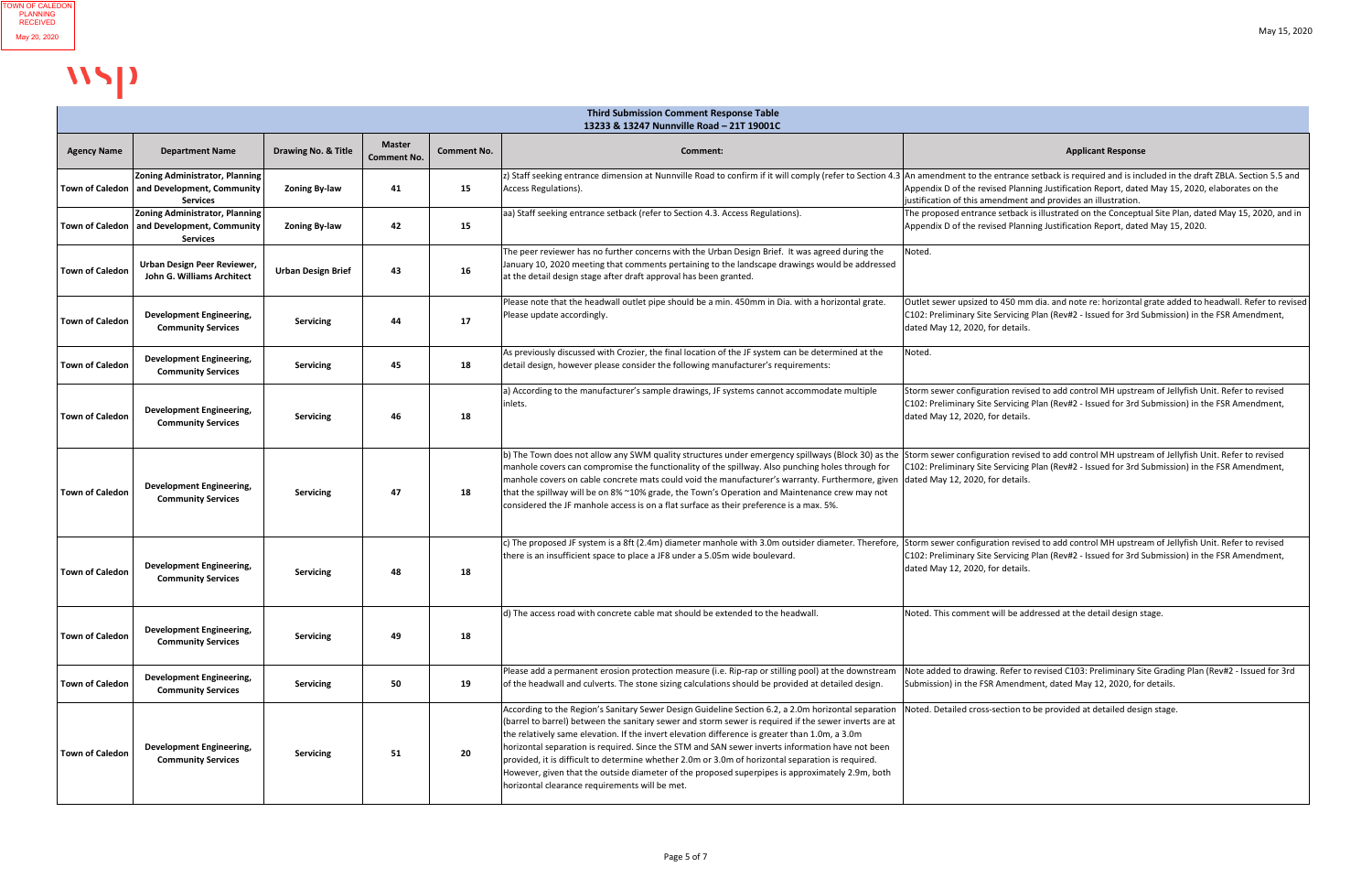| <b>Third Submission Comment Response Table</b><br>13233 & 13247 Nunnville Road - 21T 19001C |                                                                                 |                           |                                     |                    |                                                                                                                                                                                                                                                                                                                                                                                                                                                                                                                                                                                                                                                                              |                                                                                                                                                                                                                                                                                                                                                                                 |  |
|---------------------------------------------------------------------------------------------|---------------------------------------------------------------------------------|---------------------------|-------------------------------------|--------------------|------------------------------------------------------------------------------------------------------------------------------------------------------------------------------------------------------------------------------------------------------------------------------------------------------------------------------------------------------------------------------------------------------------------------------------------------------------------------------------------------------------------------------------------------------------------------------------------------------------------------------------------------------------------------------|---------------------------------------------------------------------------------------------------------------------------------------------------------------------------------------------------------------------------------------------------------------------------------------------------------------------------------------------------------------------------------|--|
| <b>Agency Name</b>                                                                          | <b>Department Name</b>                                                          | Drawing No. & Title       | <b>Master</b><br><b>Comment No.</b> | <b>Comment No.</b> | Comment:                                                                                                                                                                                                                                                                                                                                                                                                                                                                                                                                                                                                                                                                     | <b>Applicant Response</b>                                                                                                                                                                                                                                                                                                                                                       |  |
| <b>Town of Caledon</b>                                                                      | Zoning Administrator, Planning<br>and Development, Community<br><b>Services</b> | <b>Zoning By-law</b>      | 41                                  | 15                 | Access Regulations).                                                                                                                                                                                                                                                                                                                                                                                                                                                                                                                                                                                                                                                         | z) Staff seeking entrance dimension at Nunnville Road to confirm if it will comply (refer to Section 4.3 An amendment to the entrance setback is required and is included in the draft ZBLA. Section 5.5 and<br>Appendix D of the revised Planning Justification Report, dated May 15, 2020, elaborates on the<br>justification of this amendment and provides an illustration. |  |
| <b>Town of Caledon</b>                                                                      | Zoning Administrator, Planning<br>and Development, Community<br><b>Services</b> | <b>Zoning By-law</b>      | 42                                  | 15                 | aa) Staff seeking entrance setback (refer to Section 4.3. Access Regulations).                                                                                                                                                                                                                                                                                                                                                                                                                                                                                                                                                                                               | The proposed entrance setback is illustrated on the Conceptual Site Plan, dated May 15, 2020, and in<br>Appendix D of the revised Planning Justification Report, dated May 15, 2020.                                                                                                                                                                                            |  |
| <b>Town of Caledon</b>                                                                      | Urban Design Peer Reviewer,<br>John G. Williams Architect                       | <b>Urban Design Brief</b> | 43                                  | 16                 | The peer reviewer has no further concerns with the Urban Design Brief. It was agreed during the<br>January 10, 2020 meeting that comments pertaining to the landscape drawings would be addressed<br>at the detail design stage after draft approval has been granted.                                                                                                                                                                                                                                                                                                                                                                                                       | Noted.                                                                                                                                                                                                                                                                                                                                                                          |  |
| <b>Town of Caledon</b>                                                                      | <b>Development Engineering,</b><br><b>Community Services</b>                    | <b>Servicing</b>          | 44                                  | 17                 | Please note that the headwall outlet pipe should be a min. 450mm in Dia. with a horizontal grate.<br>Please update accordingly.                                                                                                                                                                                                                                                                                                                                                                                                                                                                                                                                              | Outlet sewer upsized to 450 mm dia. and note re: horizontal grate added to headwall. Refer to revised<br>C102: Preliminary Site Servicing Plan (Rev#2 - Issued for 3rd Submission) in the FSR Amendment,<br>dated May 12, 2020, for details.                                                                                                                                    |  |
| <b>Town of Caledon</b>                                                                      | <b>Development Engineering,</b><br><b>Community Services</b>                    | <b>Servicing</b>          | 45                                  | 18                 | As previously discussed with Crozier, the final location of the JF system can be determined at the<br>detail design, however please consider the following manufacturer's requirements:                                                                                                                                                                                                                                                                                                                                                                                                                                                                                      | Noted.                                                                                                                                                                                                                                                                                                                                                                          |  |
| <b>Town of Caledon</b>                                                                      | <b>Development Engineering,</b><br><b>Community Services</b>                    | <b>Servicing</b>          | 46                                  | 18                 | a) According to the manufacturer's sample drawings, JF systems cannot accommodate multiple<br>inlets.                                                                                                                                                                                                                                                                                                                                                                                                                                                                                                                                                                        | Storm sewer configuration revised to add control MH upstream of Jellyfish Unit. Refer to revised<br>C102: Preliminary Site Servicing Plan (Rev#2 - Issued for 3rd Submission) in the FSR Amendment,<br>dated May 12, 2020, for details.                                                                                                                                         |  |
| <b>Town of Caledon</b>                                                                      | <b>Development Engineering,</b><br><b>Community Services</b>                    | <b>Servicing</b>          | 47                                  | 18                 | b) The Town does not allow any SWM quality structures under emergency spillways (Block 30) as the Storm sewer configuration revised to add control MH upstream of Jellyfish Unit. Refer to revised<br>manhole covers can compromise the functionality of the spillway. Also punching holes through for<br>manhole covers on cable concrete mats could void the manufacturer's warranty. Furthermore, given<br>Ithat the spillway will be on 8% ~10% grade, the Town's Operation and Maintenance crew may not<br>considered the JF manhole access is on a flat surface as their preference is a max. 5%.                                                                      | C102: Preliminary Site Servicing Plan (Rev#2 - Issued for 3rd Submission) in the FSR Amendment,<br>dated May 12, 2020, for details.                                                                                                                                                                                                                                             |  |
| <b>Town of Caledon</b>                                                                      | <b>Development Engineering,</b><br><b>Community Services</b>                    | <b>Servicing</b>          | 48                                  | 18                 | c) The proposed JF system is a 8ft (2.4m) diameter manhole with 3.0m outsider diameter. Therefore<br>there is an insufficient space to place a JF8 under a 5.05m wide boulevard.                                                                                                                                                                                                                                                                                                                                                                                                                                                                                             | Storm sewer configuration revised to add control MH upstream of Jellyfish Unit. Refer to revised<br>C102: Preliminary Site Servicing Plan (Rev#2 - Issued for 3rd Submission) in the FSR Amendment,<br>dated May 12, 2020, for details.                                                                                                                                         |  |
| <b>Town of Caledon</b>                                                                      | <b>Development Engineering,</b><br><b>Community Services</b>                    | Servicing                 | 49                                  | 18                 | d) The access road with concrete cable mat should be extended to the headwall                                                                                                                                                                                                                                                                                                                                                                                                                                                                                                                                                                                                | Noted. This comment will be addressed at the detail design stage.                                                                                                                                                                                                                                                                                                               |  |
| <b>Town of Caledon</b>                                                                      | <b>Development Engineering,</b><br><b>Community Services</b>                    | <b>Servicing</b>          | 50                                  | 19                 | Please add a permanent erosion protection measure (i.e. Rip-rap or stilling pool) at the downstream<br>of the headwall and culverts. The stone sizing calculations should be provided at detailed design.                                                                                                                                                                                                                                                                                                                                                                                                                                                                    | Note added to drawing. Refer to revised C103: Preliminary Site Grading Plan (Rev#2 - Issued for 3rd<br>Submission) in the FSR Amendment, dated May 12, 2020, for details.                                                                                                                                                                                                       |  |
| <b>Town of Caledon</b>                                                                      | <b>Development Engineering,</b><br><b>Community Services</b>                    | <b>Servicing</b>          | 51                                  | 20                 | According to the Region's Sanitary Sewer Design Guideline Section 6.2, a 2.0m horizontal separation<br>(barrel to barrel) between the sanitary sewer and storm sewer is required if the sewer inverts are at<br>the relatively same elevation. If the invert elevation difference is greater than 1.0m, a 3.0m<br>horizontal separation is required. Since the STM and SAN sewer inverts information have not been<br>provided, it is difficult to determine whether 2.0m or 3.0m of horizontal separation is required.<br>However, given that the outside diameter of the proposed superpipes is approximately 2.9m, both<br>horizontal clearance requirements will be met. | Noted. Detailed cross-section to be provided at detailed design stage.                                                                                                                                                                                                                                                                                                          |  |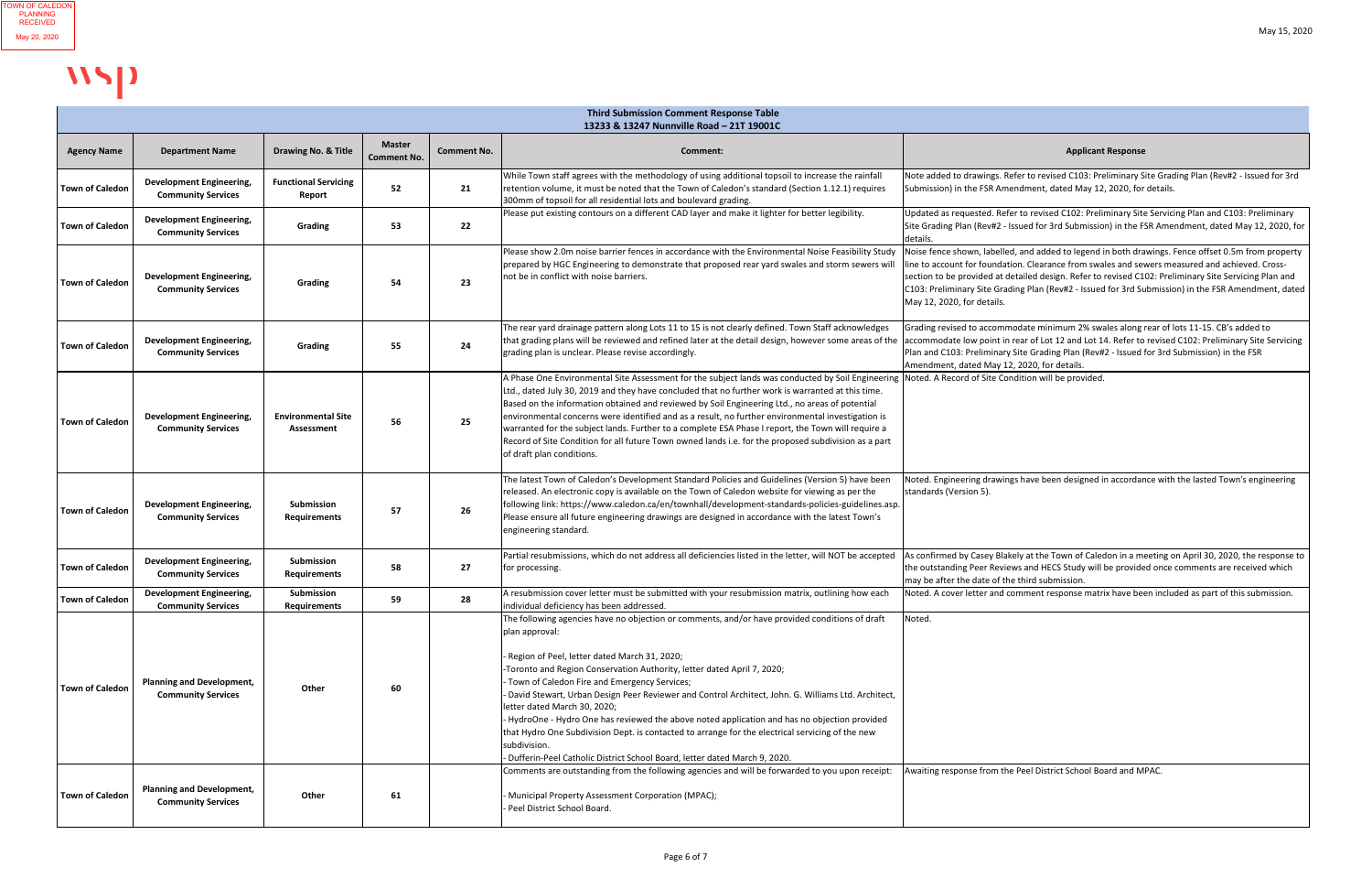| <b>Third Submission Comment Response Table</b><br>13233 & 13247 Nunnville Road - 21T 19001C |                                                               |                                         |                                     |                    |                                                                                                                                                                                                                                                                                                                                                                                                                                                                                                                                                                                                                                                                                                                                           |                                                                                                                                                                                                                                                                                                                                                                                                                                                    |  |  |
|---------------------------------------------------------------------------------------------|---------------------------------------------------------------|-----------------------------------------|-------------------------------------|--------------------|-------------------------------------------------------------------------------------------------------------------------------------------------------------------------------------------------------------------------------------------------------------------------------------------------------------------------------------------------------------------------------------------------------------------------------------------------------------------------------------------------------------------------------------------------------------------------------------------------------------------------------------------------------------------------------------------------------------------------------------------|----------------------------------------------------------------------------------------------------------------------------------------------------------------------------------------------------------------------------------------------------------------------------------------------------------------------------------------------------------------------------------------------------------------------------------------------------|--|--|
| <b>Agency Name</b>                                                                          | <b>Department Name</b>                                        | Drawing No. & Title                     | <b>Master</b><br><b>Comment No.</b> | <b>Comment No.</b> | Comment:                                                                                                                                                                                                                                                                                                                                                                                                                                                                                                                                                                                                                                                                                                                                  | <b>Applicant Response</b>                                                                                                                                                                                                                                                                                                                                                                                                                          |  |  |
| <b>Town of Caledon</b>                                                                      | <b>Development Engineering,</b><br><b>Community Services</b>  | <b>Functional Servicing</b><br>Report   | 52                                  | 21                 | While Town staff agrees with the methodology of using additional topsoil to increase the rainfall<br>retention volume, it must be noted that the Town of Caledon's standard (Section 1.12.1) requires<br>300mm of topsoil for all residential lots and boulevard grading.                                                                                                                                                                                                                                                                                                                                                                                                                                                                 | Note added to drawings. Refer to revised C103: Preliminary Site Grading Plan (Rev#2 - Issued for 3rd<br>Submission) in the FSR Amendment, dated May 12, 2020, for details.                                                                                                                                                                                                                                                                         |  |  |
| <b>Town of Caledon</b>                                                                      | <b>Development Engineering,</b><br><b>Community Services</b>  | <b>Grading</b>                          | 53                                  | 22                 | Please put existing contours on a different CAD layer and make it lighter for better legibility.                                                                                                                                                                                                                                                                                                                                                                                                                                                                                                                                                                                                                                          | Updated as requested. Refer to revised C102: Preliminary Site Servicing Plan and C103: Preliminary<br>Site Grading Plan (Rev#2 - Issued for 3rd Submission) in the FSR Amendment, dated May 12, 2020, for<br>details.                                                                                                                                                                                                                              |  |  |
| <b>Town of Caledon</b>                                                                      | <b>Development Engineering,</b><br><b>Community Services</b>  | <b>Grading</b>                          | 54                                  | 23                 | Please show 2.0m noise barrier fences in accordance with the Environmental Noise Feasibility Study<br>prepared by HGC Engineering to demonstrate that proposed rear yard swales and storm sewers will<br>not be in conflict with noise barriers.                                                                                                                                                                                                                                                                                                                                                                                                                                                                                          | Noise fence shown, labelled, and added to legend in both drawings. Fence offset 0.5m from property<br>line to account for foundation. Clearance from swales and sewers measured and achieved. Cross-<br>section to be provided at detailed design. Refer to revised C102: Preliminary Site Servicing Plan and<br>C103: Preliminary Site Grading Plan (Rev#2 - Issued for 3rd Submission) in the FSR Amendment, dated<br>May 12, 2020, for details. |  |  |
| <b>Town of Caledon</b>                                                                      | <b>Development Engineering,</b><br><b>Community Services</b>  | Grading                                 | 55                                  | 24                 | The rear yard drainage pattern along Lots 11 to 15 is not clearly defined. Town Staff acknowledges<br>that grading plans will be reviewed and refined later at the detail design, however some areas of the<br>grading plan is unclear. Please revise accordingly.                                                                                                                                                                                                                                                                                                                                                                                                                                                                        | Grading revised to accommodate minimum 2% swales along rear of lots 11-15. CB's added to<br>accommodate low point in rear of Lot 12 and Lot 14. Refer to revised C102: Preliminary Site Servicing<br>Plan and C103: Preliminary Site Grading Plan (Rev#2 - Issued for 3rd Submission) in the FSR<br>Amendment, dated May 12, 2020, for details.                                                                                                    |  |  |
| <b>Town of Caledon</b>                                                                      | <b>Development Engineering,</b><br><b>Community Services</b>  | <b>Environmental Site</b><br>Assessment | 56                                  | 25                 | A Phase One Environmental Site Assessment for the subject lands was conducted by Soil Engineering Noted. A Record of Site Condition will be provided.<br>Ltd., dated July 30, 2019 and they have concluded that no further work is warranted at this time.<br>Based on the information obtained and reviewed by Soil Engineering Ltd., no areas of potential<br>environmental concerns were identified and as a result, no further environmental investigation is<br>warranted for the subject lands. Further to a complete ESA Phase I report, the Town will require a<br>Record of Site Condition for all future Town owned lands i.e. for the proposed subdivision as a part<br>of draft plan conditions.                              |                                                                                                                                                                                                                                                                                                                                                                                                                                                    |  |  |
| <b>Town of Caledon</b>                                                                      | <b>Development Engineering,</b><br><b>Community Services</b>  | Submission<br><b>Requirements</b>       | 57                                  | 26                 | The latest Town of Caledon's Development Standard Policies and Guidelines (Version 5) have been<br>released. An electronic copy is available on the Town of Caledon website for viewing as per the<br>following link: https://www.caledon.ca/en/townhall/development-standards-policies-guidelines.asp.<br>Please ensure all future engineering drawings are designed in accordance with the latest Town's<br>engineering standard.                                                                                                                                                                                                                                                                                                       | Noted. Engineering drawings have been designed in accordance with the lasted Town's engineering<br>standards (Version 5).                                                                                                                                                                                                                                                                                                                          |  |  |
| <b>Town of Caledon</b>                                                                      | <b>Development Engineering,</b><br><b>Community Services</b>  | Submission<br><b>Requirements</b>       | 58                                  | 27                 | Partial resubmissions, which do not address all deficiencies listed in the letter, will NOT be accepted<br>for processing.                                                                                                                                                                                                                                                                                                                                                                                                                                                                                                                                                                                                                | As confirmed by Casey Blakely at the Town of Caledon in a meeting on April 30, 2020, the response to<br>the outstanding Peer Reviews and HECS Study will be provided once comments are received which<br>Imay be after the date of the third submission.                                                                                                                                                                                           |  |  |
| <b>Town of Caledon</b>                                                                      | <b>Development Engineering,</b><br><b>Community Services</b>  | Submission<br><b>Requirements</b>       | 59                                  | 28                 | A resubmission cover letter must be submitted with your resubmission matrix, outlining how each<br>individual deficiency has been addressed.                                                                                                                                                                                                                                                                                                                                                                                                                                                                                                                                                                                              | Noted. A cover letter and comment response matrix have been included as part of this submission.                                                                                                                                                                                                                                                                                                                                                   |  |  |
| <b>Town of Caledon</b>                                                                      | <b>Planning and Development,</b><br><b>Community Services</b> | Other                                   | 60                                  |                    | The following agencies have no objection or comments, and/or have provided conditions of draft<br>plan approval:<br>- Region of Peel, letter dated March 31, 2020;<br>-Toronto and Region Conservation Authority, letter dated April 7, 2020;<br>- Town of Caledon Fire and Emergency Services;<br>David Stewart, Urban Design Peer Reviewer and Control Architect, John. G. Williams Ltd. Architect,<br>letter dated March 30, 2020;<br>- HydroOne - Hydro One has reviewed the above noted application and has no objection provided<br>that Hydro One Subdivision Dept. is contacted to arrange for the electrical servicing of the new<br>subdivision.<br>- Dufferin-Peel Catholic District School Board, letter dated March 9, 2020. | Noted.                                                                                                                                                                                                                                                                                                                                                                                                                                             |  |  |
| <b>Town of Caledon</b>                                                                      | <b>Planning and Development,</b><br><b>Community Services</b> | Other                                   | 61                                  |                    | Comments are outstanding from the following agencies and will be forwarded to you upon receipt:<br>- Municipal Property Assessment Corporation (MPAC);<br>Peel District School Board.                                                                                                                                                                                                                                                                                                                                                                                                                                                                                                                                                     | Awaiting response from the Peel District School Board and MPAC.                                                                                                                                                                                                                                                                                                                                                                                    |  |  |